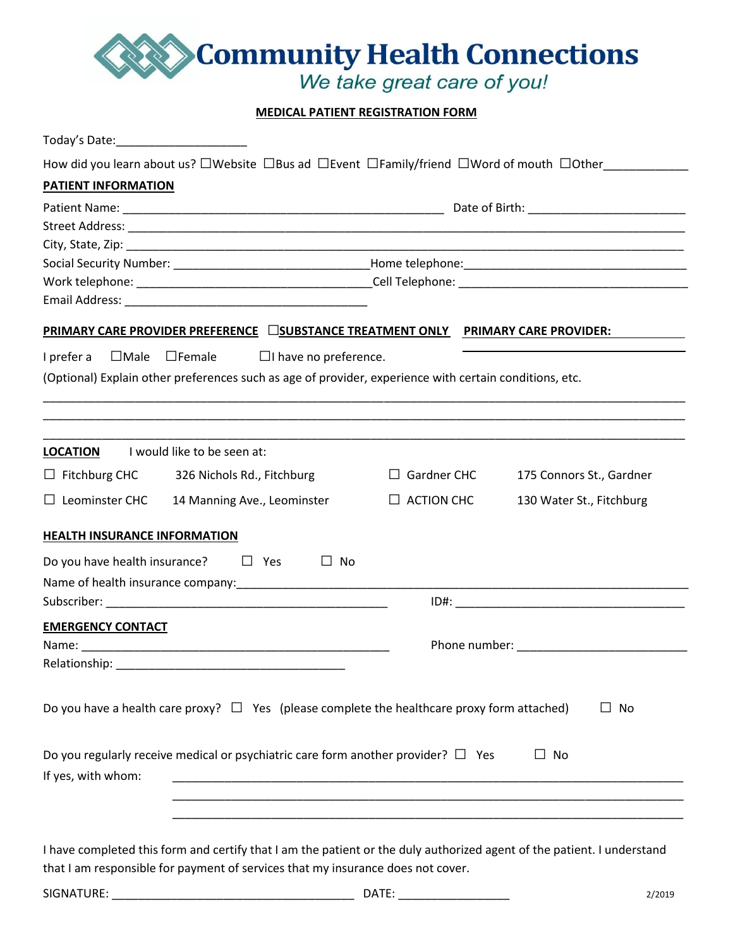

# **MEDICAL PATIENT REGISTRATION FORM**

| Today's Date: ___________________________                                                                                    |                    |                          |
|------------------------------------------------------------------------------------------------------------------------------|--------------------|--------------------------|
| How did you learn about us? $\Box$ Website $\Box$ Bus ad $\Box$ Event $\Box$ Family/friend $\Box$ Word of mouth $\Box$ Other |                    |                          |
| <b>PATIENT INFORMATION</b>                                                                                                   |                    |                          |
|                                                                                                                              |                    |                          |
|                                                                                                                              |                    |                          |
|                                                                                                                              |                    |                          |
|                                                                                                                              |                    |                          |
|                                                                                                                              |                    |                          |
|                                                                                                                              |                    |                          |
| PRIMARY CARE PROVIDER PREFERENCE □SUBSTANCE TREATMENT ONLY PRIMARY CARE PROVIDER:                                            |                    |                          |
| $\Box$ Male $\Box$ Female $\Box$ I have no preference.<br>I prefer a                                                         |                    |                          |
| (Optional) Explain other preferences such as age of provider, experience with certain conditions, etc.                       |                    |                          |
|                                                                                                                              |                    |                          |
|                                                                                                                              |                    |                          |
|                                                                                                                              |                    |                          |
| I would like to be seen at:<br><b>LOCATION</b>                                                                               |                    |                          |
| $\Box$ Fitchburg CHC 326 Nichols Rd., Fitchburg                                                                              | $\Box$ Gardner CHC | 175 Connors St., Gardner |
| $\Box$ Leominster CHC<br>14 Manning Ave., Leominster                                                                         | $\Box$ ACTION CHC  | 130 Water St., Fitchburg |
|                                                                                                                              |                    |                          |
| <b>HEALTH INSURANCE INFORMATION</b>                                                                                          |                    |                          |
| Do you have health insurance? $\Box$ Yes<br>$\Box$ No                                                                        |                    |                          |
|                                                                                                                              |                    |                          |
|                                                                                                                              |                    |                          |
| <b>EMERGENCY CONTACT</b>                                                                                                     |                    |                          |
|                                                                                                                              |                    |                          |
| Relationship: _                                                                                                              |                    |                          |
|                                                                                                                              |                    |                          |
| Do you have a health care proxy? $\Box$ Yes (please complete the healthcare proxy form attached)                             |                    | No<br>$\Box$             |
|                                                                                                                              |                    |                          |
|                                                                                                                              |                    |                          |
| Do you regularly receive medical or psychiatric care form another provider? $\square$ Yes                                    |                    | $\Box$ No                |
| If yes, with whom:                                                                                                           |                    |                          |
|                                                                                                                              |                    |                          |
|                                                                                                                              |                    |                          |
|                                                                                                                              |                    |                          |
| I have completed this form and certify that I am the patient or the duly authorized agent of the patient. I understand       |                    |                          |

that I am responsible for payment of services that my insurance does not cover.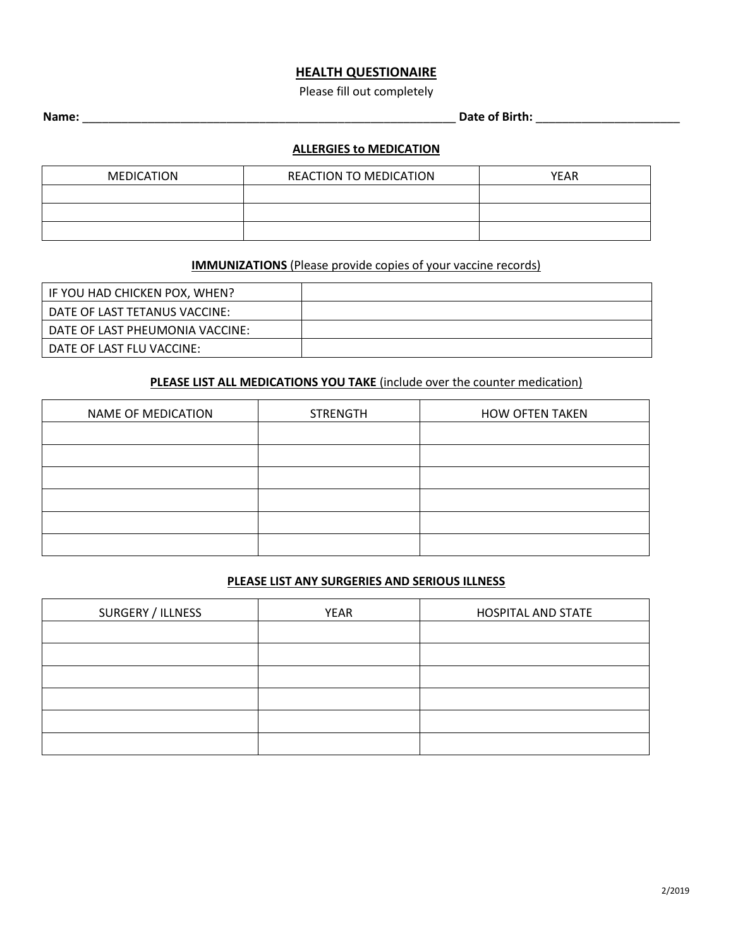#### **HEALTH QUESTIONAIRE**

Please fill out completely

# **Name:** \_\_\_\_\_\_\_\_\_\_\_\_\_\_\_\_\_\_\_\_\_\_\_\_\_\_\_\_\_\_\_\_\_\_\_\_\_\_\_\_\_\_\_\_\_\_\_\_\_\_\_\_\_\_\_\_\_ **Date of Birth:** \_\_\_\_\_\_\_\_\_\_\_\_\_\_\_\_\_\_\_\_\_\_

## **ALLERGIES to MEDICATION**

| <b>MEDICATION</b> | <b>REACTION TO MEDICATION</b> | <b>YEAR</b> |
|-------------------|-------------------------------|-------------|
|                   |                               |             |
|                   |                               |             |
|                   |                               |             |

## **IMMUNIZATIONS** (Please provide copies of your vaccine records)

| IF YOU HAD CHICKEN POX, WHEN?   |  |
|---------------------------------|--|
| DATE OF LAST TETANUS VACCINE:   |  |
| DATE OF LAST PHEUMONIA VACCINE: |  |
| DATE OF LAST FLU VACCINE:       |  |

#### **PLEASE LIST ALL MEDICATIONS YOU TAKE** (include over the counter medication)

| <b>NAME OF MEDICATION</b> | <b>STRENGTH</b> | <b>HOW OFTEN TAKEN</b> |
|---------------------------|-----------------|------------------------|
|                           |                 |                        |
|                           |                 |                        |
|                           |                 |                        |
|                           |                 |                        |
|                           |                 |                        |
|                           |                 |                        |

#### **PLEASE LIST ANY SURGERIES AND SERIOUS ILLNESS**

| SURGERY / ILLNESS | <b>YEAR</b> | <b>HOSPITAL AND STATE</b> |
|-------------------|-------------|---------------------------|
|                   |             |                           |
|                   |             |                           |
|                   |             |                           |
|                   |             |                           |
|                   |             |                           |
|                   |             |                           |